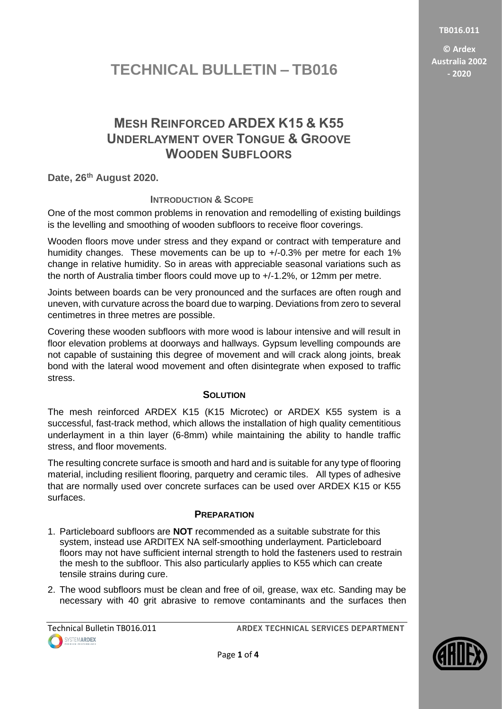**TB016.011**

**© Ardex Australia 2002 - 2020**

# **TECHNICAL BULLETIN – TB016**

## **MESH REINFORCED ARDEX K15 & K55 UNDERLAYMENT OVER TONGUE & GROOVE WOODEN SUBFLOORS**

**Date, 26th August 2020.**

## **INTRODUCTION & SCOPE**

One of the most common problems in renovation and remodelling of existing buildings is the levelling and smoothing of wooden subfloors to receive floor coverings.

Wooden floors move under stress and they expand or contract with temperature and humidity changes. These movements can be up to +/-0.3% per metre for each 1% change in relative humidity. So in areas with appreciable seasonal variations such as the north of Australia timber floors could move up to +/-1.2%, or 12mm per metre.

Joints between boards can be very pronounced and the surfaces are often rough and uneven, with curvature across the board due to warping. Deviations from zero to several centimetres in three metres are possible.

Covering these wooden subfloors with more wood is labour intensive and will result in floor elevation problems at doorways and hallways. Gypsum levelling compounds are not capable of sustaining this degree of movement and will crack along joints, break bond with the lateral wood movement and often disintegrate when exposed to traffic stress.

## **SOLUTION**

The mesh reinforced ARDEX K15 (K15 Microtec) or ARDEX K55 system is a successful, fast-track method, which allows the installation of high quality cementitious underlayment in a thin layer (6-8mm) while maintaining the ability to handle traffic stress, and floor movements.

The resulting concrete surface is smooth and hard and is suitable for any type of flooring material, including resilient flooring, parquetry and ceramic tiles. All types of adhesive that are normally used over concrete surfaces can be used over ARDEX K15 or K55 surfaces.

### **PREPARATION**

- 1. Particleboard subfloors are **NOT** recommended as a suitable substrate for this system, instead use ARDITEX NA self-smoothing underlayment. Particleboard floors may not have sufficient internal strength to hold the fasteners used to restrain the mesh to the subfloor. This also particularly applies to K55 which can create tensile strains during cure.
- 2. The wood subfloors must be clean and free of oil, grease, wax etc. Sanding may be necessary with 40 grit abrasive to remove contaminants and the surfaces then

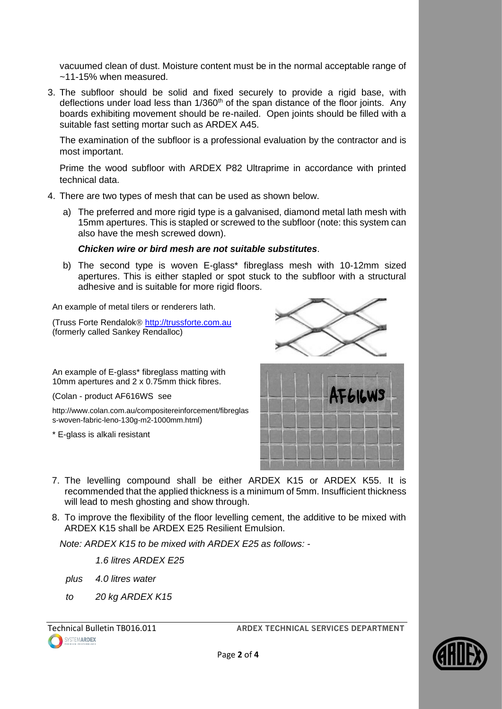vacuumed clean of dust. Moisture content must be in the normal acceptable range of ~11-15% when measured.

3. The subfloor should be solid and fixed securely to provide a rigid base, with deflections under load less than  $1/360<sup>th</sup>$  of the span distance of the floor joints. Any boards exhibiting movement should be re-nailed. Open joints should be filled with a suitable fast setting mortar such as ARDEX A45.

The examination of the subfloor is a professional evaluation by the contractor and is most important.

Prime the wood subfloor with ARDEX P82 Ultraprime in accordance with printed technical data.

- 4. There are two types of mesh that can be used as shown below.
	- a) The preferred and more rigid type is a galvanised, diamond metal lath mesh with 15mm apertures. This is stapled or screwed to the subfloor (note: this system can also have the mesh screwed down).

#### *Chicken wire or bird mesh are not suitable substitutes*.

b) The second type is woven E-glass\* fibreglass mesh with 10-12mm sized apertures. This is either stapled or spot stuck to the subfloor with a structural adhesive and is suitable for more rigid floors.

An example of metal tilers or renderers lath.

(Truss Forte Rendalok<sup>®</sup> [http://trussforte.com.au](http://trussforte.com.au/) (formerly called Sankey Rendalloc)

An example of E-glass\* fibreglass matting with 10mm apertures and 2 x 0.75mm thick fibres.

(Colan - product AF616WS see

http://www.colan.com.au/compositereinforcement/fibreglas s-woven-fabric-leno-130g-m2-1000mm.html)

\* E-glass is alkali resistant





- 7. The levelling compound shall be either ARDEX K15 or ARDEX K55. It is recommended that the applied thickness is a minimum of 5mm. Insufficient thickness will lead to mesh ghosting and show through.
- 8. To improve the flexibility of the floor levelling cement, the additive to be mixed with ARDEX K15 shall be ARDEX E25 Resilient Emulsion.

*Note: ARDEX K15 to be mixed with ARDEX E25 as follows: -*

*1.6 litres ARDEX E25*

*plus 4.0 litres water*

*to 20 kg ARDEX K15*

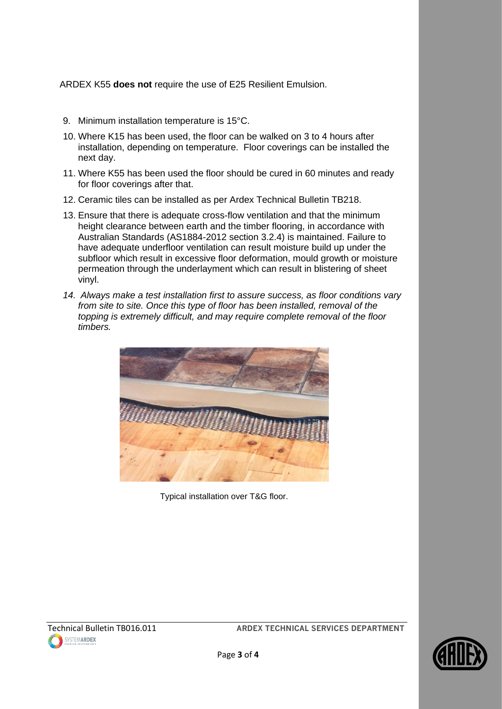ARDEX K55 **does not** require the use of E25 Resilient Emulsion.

- 9. Minimum installation temperature is 15°C.
- 10. Where K15 has been used, the floor can be walked on 3 to 4 hours after installation, depending on temperature. Floor coverings can be installed the next day.
- 11. Where K55 has been used the floor should be cured in 60 minutes and ready for floor coverings after that.
- 12. Ceramic tiles can be installed as per Ardex Technical Bulletin TB218.
- 13. Ensure that there is adequate cross-flow ventilation and that the minimum height clearance between earth and the timber flooring, in accordance with Australian Standards (AS1884-2012 section 3.2.4) is maintained. Failure to have adequate underfloor ventilation can result moisture build up under the subfloor which result in excessive floor deformation, mould growth or moisture permeation through the underlayment which can result in blistering of sheet vinyl.
- *14. Always make a test installation first to assure success, as floor conditions vary from site to site. Once this type of floor has been installed, removal of the topping is extremely difficult, and may require complete removal of the floor timbers.*



Typical installation over T&G floor.